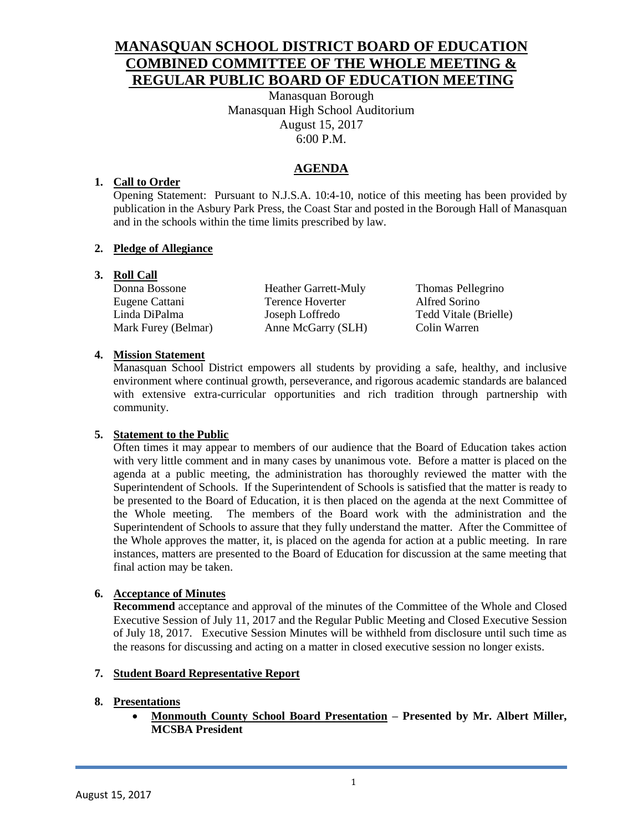# **MANASQUAN SCHOOL DISTRICT BOARD OF EDUCATION COMBINED COMMITTEE OF THE WHOLE MEETING & REGULAR PUBLIC BOARD OF EDUCATION MEETING**

Manasquan Borough Manasquan High School Auditorium August 15, 2017 6:00 P.M.

# **AGENDA**

## **1. Call to Order**

Opening Statement: Pursuant to N.J.S.A. 10:4-10, notice of this meeting has been provided by publication in the Asbury Park Press, the Coast Star and posted in the Borough Hall of Manasquan and in the schools within the time limits prescribed by law.

## **2. Pledge of Allegiance**

## **3. Roll Call**

Eugene Cattani Terence Hoverter Alfred Sorino Linda DiPalma Joseph Loffredo Tedd Vitale (Brielle) Mark Furey (Belmar) Anne McGarry (SLH) Colin Warren

Donna Bossone Heather Garrett-Muly Thomas Pellegrino

## **4. Mission Statement**

Manasquan School District empowers all students by providing a safe, healthy, and inclusive environment where continual growth, perseverance, and rigorous academic standards are balanced with extensive extra-curricular opportunities and rich tradition through partnership with community.

### **5. Statement to the Public**

Often times it may appear to members of our audience that the Board of Education takes action with very little comment and in many cases by unanimous vote. Before a matter is placed on the agenda at a public meeting, the administration has thoroughly reviewed the matter with the Superintendent of Schools. If the Superintendent of Schools is satisfied that the matter is ready to be presented to the Board of Education, it is then placed on the agenda at the next Committee of the Whole meeting. The members of the Board work with the administration and the Superintendent of Schools to assure that they fully understand the matter. After the Committee of the Whole approves the matter, it, is placed on the agenda for action at a public meeting. In rare instances, matters are presented to the Board of Education for discussion at the same meeting that final action may be taken.

## **6. Acceptance of Minutes**

**Recommend** acceptance and approval of the minutes of the Committee of the Whole and Closed Executive Session of July 11, 2017 and the Regular Public Meeting and Closed Executive Session of July 18, 2017. Executive Session Minutes will be withheld from disclosure until such time as the reasons for discussing and acting on a matter in closed executive session no longer exists.

### **7. Student Board Representative Report**

### **8. Presentations**

 **Monmouth County School Board Presentation – Presented by Mr. Albert Miller, MCSBA President**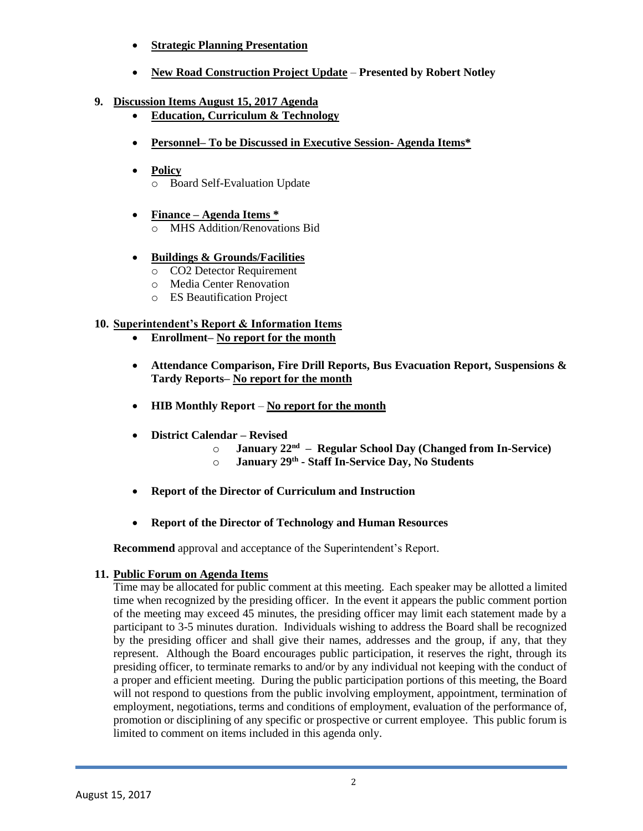- **Strategic Planning Presentation**
- **New Road Construction Project Update Presented by Robert Notley**
- **9. Discussion Items August 15, 2017 Agenda**
	- **Education, Curriculum & Technology**
	- **Personnel– To be Discussed in Executive Session- Agenda Items\***
	- **Policy** o Board Self-Evaluation Update
	- **Finance – Agenda Items \***  MHS Addition/Renovations Bid
	- **Buildings & Grounds/Facilities**
		- o CO2 Detector Requirement
		- o Media Center Renovation
		- o ES Beautification Project

## **10. Superintendent's Report & Information Items**

- **Enrollment– No report for the month**
- **Attendance Comparison, Fire Drill Reports, Bus Evacuation Report, Suspensions & Tardy Reports– No report for the month**
- **HIB Monthly Report No report for the month**
- **District Calendar – Revised** 
	- o **January 22nd – Regular School Day (Changed from In-Service)**
	- o **January 29th - Staff In-Service Day, No Students**
- **Report of the Director of Curriculum and Instruction**
- **Report of the Director of Technology and Human Resources**

**Recommend** approval and acceptance of the Superintendent's Report.

### **11. Public Forum on Agenda Items**

Time may be allocated for public comment at this meeting. Each speaker may be allotted a limited time when recognized by the presiding officer. In the event it appears the public comment portion of the meeting may exceed 45 minutes, the presiding officer may limit each statement made by a participant to 3-5 minutes duration. Individuals wishing to address the Board shall be recognized by the presiding officer and shall give their names, addresses and the group, if any, that they represent. Although the Board encourages public participation, it reserves the right, through its presiding officer, to terminate remarks to and/or by any individual not keeping with the conduct of a proper and efficient meeting. During the public participation portions of this meeting, the Board will not respond to questions from the public involving employment, appointment, termination of employment, negotiations, terms and conditions of employment, evaluation of the performance of, promotion or disciplining of any specific or prospective or current employee. This public forum is limited to comment on items included in this agenda only.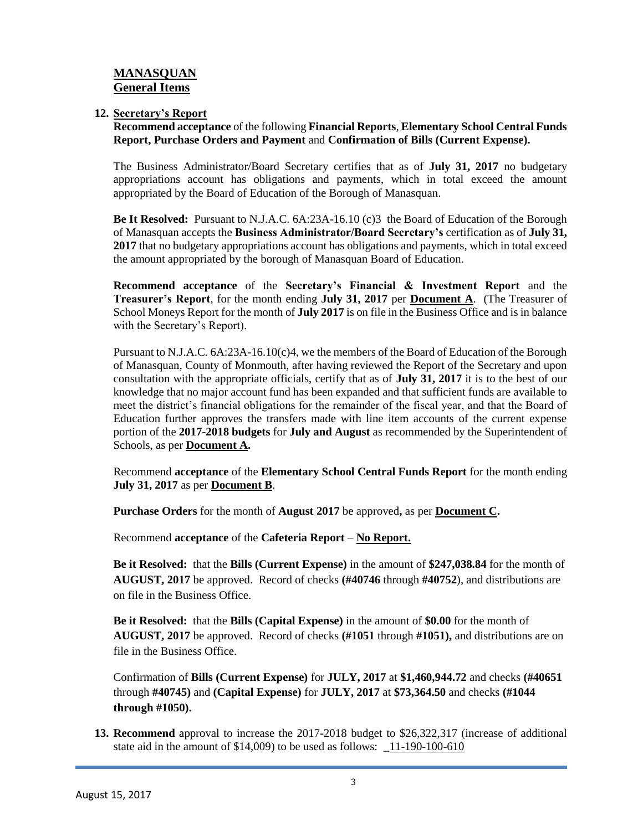## **MANASQUAN General Items**

#### **12. Secretary's Report**

**Recommend acceptance** of the following **Financial Reports**, **Elementary School Central Funds Report, Purchase Orders and Payment** and **Confirmation of Bills (Current Expense).**

The Business Administrator/Board Secretary certifies that as of **July 31, 2017** no budgetary appropriations account has obligations and payments, which in total exceed the amount appropriated by the Board of Education of the Borough of Manasquan.

**Be It Resolved:** Pursuant to N.J.A.C. 6A:23A-16.10 (c)3 the Board of Education of the Borough of Manasquan accepts the **Business Administrator/Board Secretary's** certification as of **July 31, 2017** that no budgetary appropriations account has obligations and payments, which in total exceed the amount appropriated by the borough of Manasquan Board of Education.

**Recommend acceptance** of the **Secretary's Financial & Investment Report** and the **Treasurer's Report**, for the month ending **July 31, 2017** per **Document A**. (The Treasurer of School Moneys Report for the month of **July 2017** is on file in the Business Office and is in balance with the Secretary's Report).

Pursuant to N.J.A.C. 6A:23A-16.10(c)4, we the members of the Board of Education of the Borough of Manasquan, County of Monmouth, after having reviewed the Report of the Secretary and upon consultation with the appropriate officials, certify that as of **July 31, 2017** it is to the best of our knowledge that no major account fund has been expanded and that sufficient funds are available to meet the district's financial obligations for the remainder of the fiscal year, and that the Board of Education further approves the transfers made with line item accounts of the current expense portion of the **2017-2018 budgets** for **July and August** as recommended by the Superintendent of Schools, as per **Document A.**

Recommend **acceptance** of the **Elementary School Central Funds Report** for the month ending **July 31, 2017** as per **Document B**.

**Purchase Orders** for the month of **August 2017** be approved**,** as per **Document C.**

Recommend **acceptance** of the **Cafeteria Report** – **No Report.**

**Be it Resolved:** that the **Bills (Current Expense)** in the amount of **\$247,038.84** for the month of **AUGUST, 2017** be approved. Record of checks **(#40746** through **#40752**), and distributions are on file in the Business Office.

**Be it Resolved:** that the **Bills (Capital Expense)** in the amount of **\$0.00** for the month of **AUGUST, 2017** be approved. Record of checks **(#1051** through **#1051),** and distributions are on file in the Business Office.

Confirmation of **Bills (Current Expense)** for **JULY, 2017** at **\$1,460,944.72** and checks **(#40651**  through **#40745)** and **(Capital Expense)** for **JULY, 2017** at **\$73,364.50** and checks **(#1044 through #1050).**

**13. Recommend** approval to increase the 2017-2018 budget to \$26,322,317 (increase of additional state aid in the amount of \$14,009) to be used as follows: \_11-190-100-610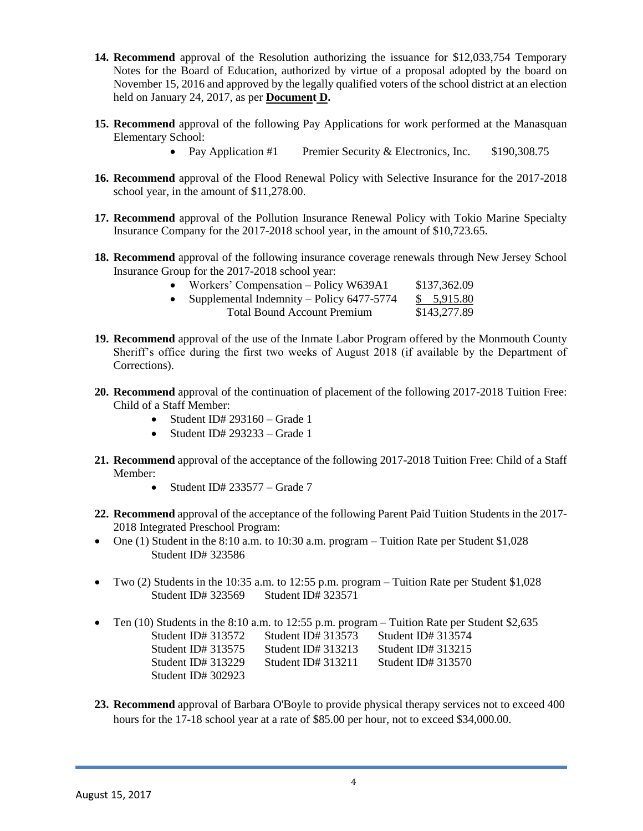- **14. Recommend** approval of the Resolution authorizing the issuance for \$12,033,754 Temporary Notes for the Board of Education, authorized by virtue of a proposal adopted by the board on November 15, 2016 and approved by the legally qualified voters of the school district at an election held on January 24, 2017, as per **Document D.**
- **15. Recommend** approval of the following Pay Applications for work performed at the Manasquan Elementary School:
	- Pay Application #1 Premier Security & Electronics, Inc. \$190,308.75
- **16. Recommend** approval of the Flood Renewal Policy with Selective Insurance for the 2017-2018 school year, in the amount of \$11,278.00.
- **17. Recommend** approval of the Pollution Insurance Renewal Policy with Tokio Marine Specialty Insurance Company for the 2017-2018 school year, in the amount of \$10,723.65.
- **18. Recommend** approval of the following insurance coverage renewals through New Jersey School Insurance Group for the 2017-2018 school year:

| $\bullet$ | Workers' Compensation – Policy W639A1       | \$137,362.09 |
|-----------|---------------------------------------------|--------------|
| $\bullet$ | Supplemental Indemnity – Policy $6477-5774$ | \$ 5,915.80  |
|           | <b>Total Bound Account Premium</b>          | \$143,277.89 |

- **19. Recommend** approval of the use of the Inmate Labor Program offered by the Monmouth County Sheriff's office during the first two weeks of August 2018 (if available by the Department of Corrections).
- **20. Recommend** approval of the continuation of placement of the following 2017-2018 Tuition Free: Child of a Staff Member:
	- Student ID#  $293160 -$ Grade 1
	- Student ID#  $293233 -$  Grade 1
- **21. Recommend** approval of the acceptance of the following 2017-2018 Tuition Free: Child of a Staff Member:
	- Student ID#  $233577 -$  Grade 7
- **22. Recommend** approval of the acceptance of the following Parent Paid Tuition Students in the 2017- 2018 Integrated Preschool Program:
- One (1) Student in the  $8:10$  a.m. to  $10:30$  a.m. program Tuition Rate per Student \$1,028 Student ID# 323586
- Two (2) Students in the 10:35 a.m. to 12:55 p.m. program Tuition Rate per Student  $$1,028$ Student ID# 323569 Student ID# 323571
- Ten (10) Students in the 8:10 a.m. to 12:55 p.m. program Tuition Rate per Student \$2,635 Student ID# 313572 Student ID# 313573 Student ID# 313574 Student ID# 313575 Student ID# 313213 Student ID# 313215 Student ID# 313229 Student ID# 313211 Student ID# 313570 Student ID# 302923
- **23. Recommend** approval of Barbara O'Boyle to provide physical therapy services not to exceed 400 hours for the 17-18 school year at a rate of \$85.00 per hour, not to exceed \$34,000.00.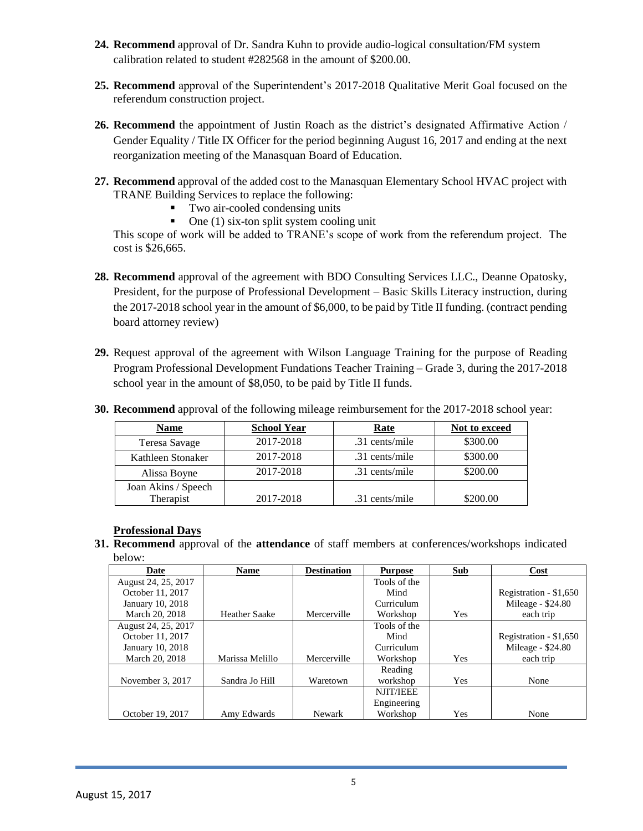- **24. Recommend** approval of Dr. Sandra Kuhn to provide audio-logical consultation/FM system calibration related to student #282568 in the amount of \$200.00.
- **25. Recommend** approval of the Superintendent's 2017-2018 Qualitative Merit Goal focused on the referendum construction project.
- **26. Recommend** the appointment of Justin Roach as the district's designated Affirmative Action / Gender Equality / Title IX Officer for the period beginning August 16, 2017 and ending at the next reorganization meeting of the Manasquan Board of Education.
- **27. Recommend** approval of the added cost to the Manasquan Elementary School HVAC project with TRANE Building Services to replace the following:
	- Two air-cooled condensing units
	- $\blacksquare$  One (1) six-ton split system cooling unit

This scope of work will be added to TRANE's scope of work from the referendum project. The cost is \$26,665.

- **28. Recommend** approval of the agreement with BDO Consulting Services LLC., Deanne Opatosky, President, for the purpose of Professional Development – Basic Skills Literacy instruction, during the 2017-2018 school year in the amount of \$6,000, to be paid by Title II funding. (contract pending board attorney review)
- **29.** Request approval of the agreement with Wilson Language Training for the purpose of Reading Program Professional Development Fundations Teacher Training – Grade 3, during the 2017-2018 school year in the amount of \$8,050, to be paid by Title II funds.

| <b>Name</b>         | <b>School Year</b> | Rate           | Not to exceed |
|---------------------|--------------------|----------------|---------------|
| Teresa Savage       | 2017-2018          | .31 cents/mile | \$300.00      |
| Kathleen Stonaker   | 2017-2018          | .31 cents/mile | \$300.00      |
| Alissa Boyne        | 2017-2018          | .31 cents/mile | \$200.00      |
| Joan Akins / Speech |                    |                |               |
| Therapist           | 2017-2018          | .31 cents/mile | \$200.00      |

**30. Recommend** approval of the following mileage reimbursement for the 2017-2018 school year:

### **Professional Days**

**31. Recommend** approval of the **attendance** of staff members at conferences/workshops indicated below:

| Date                | <b>Name</b>          | <b>Destination</b> | <b>Purpose</b>   | Sub | Cost                   |
|---------------------|----------------------|--------------------|------------------|-----|------------------------|
| August 24, 25, 2017 |                      |                    | Tools of the     |     |                        |
| October 11, 2017    |                      |                    | Mind             |     | Registration - \$1,650 |
| January 10, 2018    |                      |                    | Curriculum       |     | Mileage - \$24.80      |
| March 20, 2018      | <b>Heather Saake</b> | Mercerville        | Workshop         | Yes | each trip              |
| August 24, 25, 2017 |                      |                    | Tools of the     |     |                        |
| October 11, 2017    |                      |                    | Mind             |     | Registration - \$1,650 |
| January 10, 2018    |                      |                    | Curriculum       |     | Mileage - \$24.80      |
| March 20, 2018      | Marissa Melillo      | Mercerville        | Workshop         | Yes | each trip              |
|                     |                      |                    | Reading          |     |                        |
| November 3, 2017    | Sandra Jo Hill       | Waretown           | workshop         | Yes | None                   |
|                     |                      |                    | <b>NJIT/IEEE</b> |     |                        |
|                     |                      |                    | Engineering      |     |                        |
| October 19, 2017    | Amy Edwards          | Newark             | Workshop         | Yes | None                   |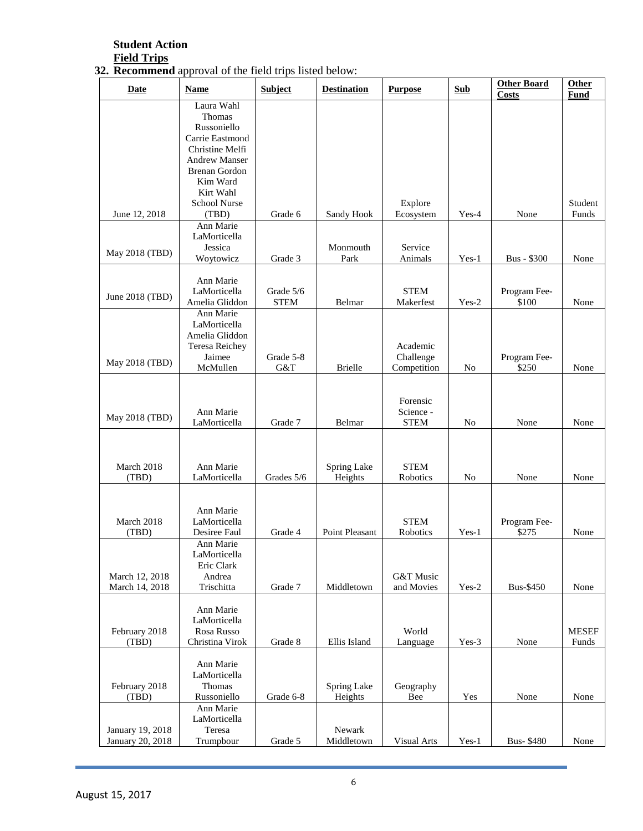### **Student Action Field Trips**

#### **32. Recommend** approval of the field trips listed below:

| Date                   | <b>Name</b>                           | <b>Subject</b>   | <b>Destination</b> | <b>Purpose</b>           | <b>Sub</b>     | <b>Other Board</b><br><b>Costs</b> | <b>Other</b><br><b>Fund</b> |
|------------------------|---------------------------------------|------------------|--------------------|--------------------------|----------------|------------------------------------|-----------------------------|
|                        | Laura Wahl                            |                  |                    |                          |                |                                    |                             |
|                        | Thomas<br>Russoniello                 |                  |                    |                          |                |                                    |                             |
|                        | Carrie Eastmond                       |                  |                    |                          |                |                                    |                             |
|                        | Christine Melfi                       |                  |                    |                          |                |                                    |                             |
|                        | <b>Andrew Manser</b><br>Brenan Gordon |                  |                    |                          |                |                                    |                             |
|                        | Kim Ward                              |                  |                    |                          |                |                                    |                             |
|                        | Kirt Wahl<br>School Nurse             |                  |                    | Explore                  |                |                                    | Student                     |
| June 12, 2018          | (TBD)                                 | Grade 6          | Sandy Hook         | Ecosystem                | Yes-4          | None                               | Funds                       |
|                        | Ann Marie                             |                  |                    |                          |                |                                    |                             |
|                        | LaMorticella<br>Jessica               |                  | Monmouth           | Service                  |                |                                    |                             |
| May 2018 (TBD)         | Woytowicz                             | Grade 3          | Park               | Animals                  | $Yes-1$        | <b>Bus - \$300</b>                 | None                        |
|                        |                                       |                  |                    |                          |                |                                    |                             |
|                        | Ann Marie<br>LaMorticella             | Grade 5/6        |                    | <b>STEM</b>              |                | Program Fee-                       |                             |
| June 2018 (TBD)        | Amelia Gliddon                        | <b>STEM</b>      | Belmar             | Makerfest                | $Yes-2$        | \$100                              | None                        |
|                        | Ann Marie<br>LaMorticella             |                  |                    |                          |                |                                    |                             |
|                        | Amelia Gliddon                        |                  |                    |                          |                |                                    |                             |
|                        | Teresa Reichey                        |                  |                    | Academic                 |                |                                    |                             |
| May 2018 (TBD)         | Jaimee<br>McMullen                    | Grade 5-8<br>G&T | <b>Brielle</b>     | Challenge<br>Competition | N <sub>o</sub> | Program Fee-<br>\$250              | None                        |
|                        |                                       |                  |                    |                          |                |                                    |                             |
|                        |                                       |                  |                    |                          |                |                                    |                             |
|                        | Ann Marie                             |                  |                    | Forensic<br>Science -    |                |                                    |                             |
| May 2018 (TBD)         | LaMorticella                          | Grade 7          | Belmar             | ${\tt STEM}$             | No             | None                               | None                        |
|                        |                                       |                  |                    |                          |                |                                    |                             |
|                        |                                       |                  |                    |                          |                |                                    |                             |
| March 2018             | Ann Marie                             |                  | Spring Lake        | <b>STEM</b>              |                |                                    |                             |
| (TBD)                  | LaMorticella                          | Grades 5/6       | Heights            | Robotics                 | No             | None                               | None                        |
|                        |                                       |                  |                    |                          |                |                                    |                             |
| March 2018             | Ann Marie<br>LaMorticella             |                  |                    | <b>STEM</b>              |                | Program Fee-                       |                             |
| (TBD)                  | Desiree Faul                          | Grade 4          | Point Pleasant     | Robotics                 | $Yes-1$        | \$275                              | None                        |
|                        | Ann Marie                             |                  |                    |                          |                |                                    |                             |
|                        | LaMorticella<br>Eric Clark            |                  |                    |                          |                |                                    |                             |
| March 12, 2018         | Andrea                                |                  |                    | G&T Music                |                |                                    |                             |
| March 14, 2018         | Trischitta                            | Grade 7          | Middletown         | and Movies               | $Yes-2$        | <b>Bus-\$450</b>                   | None                        |
|                        | Ann Marie                             |                  |                    |                          |                |                                    |                             |
|                        | LaMorticella                          |                  |                    |                          |                |                                    |                             |
| February 2018<br>(TBD) | Rosa Russo<br>Christina Virok         | Grade 8          | Ellis Island       | World<br>Language        | $Yes-3$        | None                               | <b>MESEF</b><br>Funds       |
|                        |                                       |                  |                    |                          |                |                                    |                             |
|                        | Ann Marie                             |                  |                    |                          |                |                                    |                             |
| February 2018          | LaMorticella<br>Thomas                |                  | Spring Lake        | Geography                |                |                                    |                             |
| (TBD)                  | Russoniello                           | Grade 6-8        | Heights            | Bee                      | Yes            | None                               | None                        |
|                        | Ann Marie                             |                  |                    |                          |                |                                    |                             |
| January 19, 2018       | LaMorticella<br>Teresa                |                  | Newark             |                          |                |                                    |                             |
| January 20, 2018       | Trumpbour                             | Grade 5          | Middletown         | Visual Arts              | $Yes-1$        | <b>Bus-\$480</b>                   | None                        |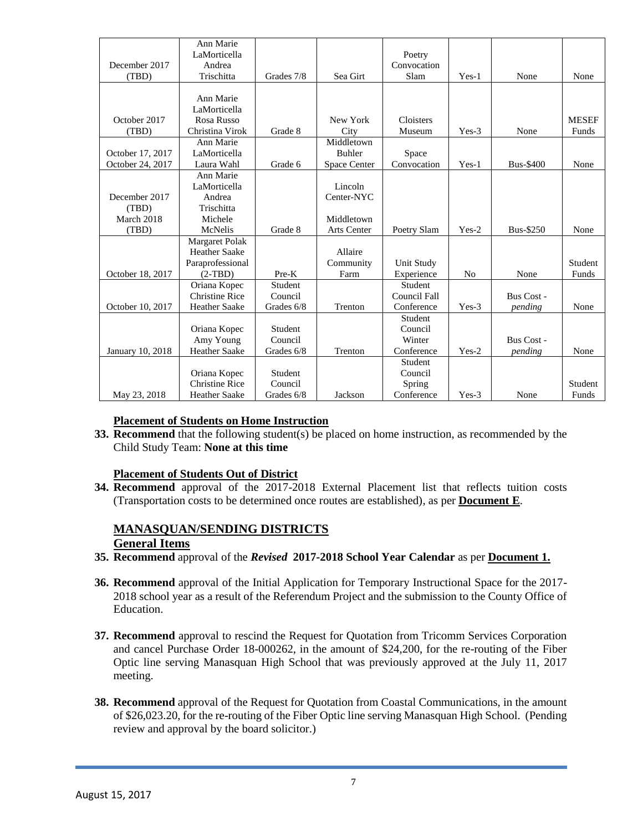|                     | Ann Marie             |            |                    |              |                |                  |              |
|---------------------|-----------------------|------------|--------------------|--------------|----------------|------------------|--------------|
|                     | LaMorticella          |            |                    | Poetry       |                |                  |              |
| December 2017       | Andrea                |            |                    | Convocation  |                |                  |              |
| (TBD)               | Trischitta            | Grades 7/8 | Sea Girt           | Slam         | Yes-1          | None             | None         |
|                     |                       |            |                    |              |                |                  |              |
|                     | Ann Marie             |            |                    |              |                |                  |              |
|                     | LaMorticella          |            |                    |              |                |                  |              |
| October 2017        | Rosa Russo            |            | New York           | Cloisters    |                |                  | <b>MESEF</b> |
| (TBD)               | Christina Virok       | Grade 8    | City               | Museum       | $Yes-3$        | None             | Funds        |
|                     | Ann Marie             |            | Middletown         |              |                |                  |              |
| October 17, 2017    | LaMorticella          |            | <b>Buhler</b>      | Space        |                |                  |              |
| October 24, 2017    | Laura Wahl            | Grade 6    | Space Center       | Convocation  | $Yes-1$        | <b>Bus-\$400</b> | None         |
|                     | Ann Marie             |            |                    |              |                |                  |              |
|                     | LaMorticella          |            | Lincoln            |              |                |                  |              |
| December 2017       | Andrea                |            | Center-NYC         |              |                |                  |              |
|                     | Trischitta            |            |                    |              |                |                  |              |
| (TBD)<br>March 2018 |                       |            |                    |              |                |                  |              |
|                     | Michele               |            | Middletown         |              |                |                  |              |
| (TBD)               | McNelis               | Grade 8    | <b>Arts Center</b> | Poetry Slam  | $Yes-2$        | <b>Bus-\$250</b> | None         |
|                     | <b>Margaret Polak</b> |            |                    |              |                |                  |              |
|                     | <b>Heather Saake</b>  |            | Allaire            |              |                |                  |              |
|                     | Paraprofessional      |            | Community          | Unit Study   |                |                  | Student      |
| October 18, 2017    | $(2-TBD)$             | Pre-K      | Farm               | Experience   | N <sub>0</sub> | None             | Funds        |
|                     | Oriana Kopec          | Student    |                    | Student      |                |                  |              |
|                     | <b>Christine Rice</b> | Council    |                    | Council Fall |                | Bus Cost -       |              |
| October 10, 2017    | <b>Heather Saake</b>  | Grades 6/8 | Trenton            | Conference   | $Yes-3$        | pending          | None         |
|                     |                       |            |                    | Student      |                |                  |              |
|                     | Oriana Kopec          | Student    |                    | Council      |                |                  |              |
|                     | Amy Young             | Council    |                    | Winter       |                | Bus Cost -       |              |
| January 10, 2018    | <b>Heather Saake</b>  | Grades 6/8 | Trenton            | Conference   | $Yes-2$        | pending          | None         |
|                     |                       |            |                    | Student      |                |                  |              |
|                     | Oriana Kopec          | Student    |                    | Council      |                |                  |              |
|                     | <b>Christine Rice</b> | Council    |                    | Spring       |                |                  | Student      |
| May 23, 2018        | <b>Heather Saake</b>  | Grades 6/8 | Jackson            | Conference   | Yes-3          | None             | Funds        |

### **Placement of Students on Home Instruction**

**33. Recommend** that the following student(s) be placed on home instruction, as recommended by the Child Study Team: **None at this time**

#### **Placement of Students Out of District**

**34. Recommend** approval of the 2017-2018 External Placement list that reflects tuition costs (Transportation costs to be determined once routes are established), as per **Document E**.

#### **MANASQUAN/SENDING DISTRICTS General Items**

- **35. Recommend** approval of the *Revised* **2017-2018 School Year Calendar** as per **Document 1.**
- **36. Recommend** approval of the Initial Application for Temporary Instructional Space for the 2017- 2018 school year as a result of the Referendum Project and the submission to the County Office of Education.
- **37. Recommend** approval to rescind the Request for Quotation from Tricomm Services Corporation and cancel Purchase Order 18-000262, in the amount of \$24,200, for the re-routing of the Fiber Optic line serving Manasquan High School that was previously approved at the July 11, 2017 meeting.
- **38. Recommend** approval of the Request for Quotation from Coastal Communications, in the amount of \$26,023.20, for the re-routing of the Fiber Optic line serving Manasquan High School. (Pending review and approval by the board solicitor.)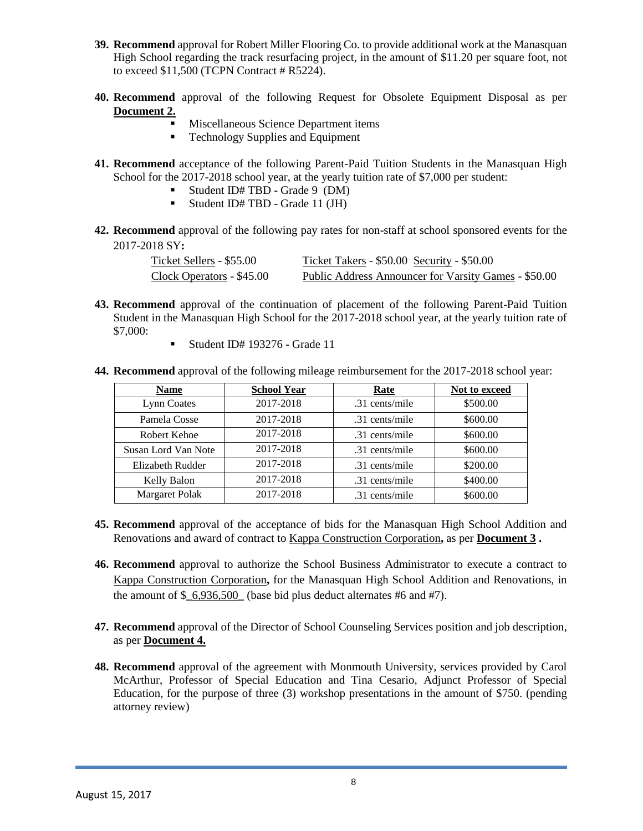- **39. Recommend** approval for Robert Miller Flooring Co. to provide additional work at the Manasquan High School regarding the track resurfacing project, in the amount of \$11.20 per square foot, not to exceed \$11,500 (TCPN Contract # R5224).
- **40. Recommend** approval of the following Request for Obsolete Equipment Disposal as per **Document 2.**
	- Miscellaneous Science Department items
	- Technology Supplies and Equipment
- **41. Recommend** acceptance of the following Parent-Paid Tuition Students in the Manasquan High School for the 2017-2018 school year, at the yearly tuition rate of \$7,000 per student:
	- Student ID# TBD Grade 9 (DM)
	- Student ID# TBD Grade 11 (JH)
- **42. Recommend** approval of the following pay rates for non-staff at school sponsored events for the 2017-2018 SY**:**

| Ticket Sellers - \$55.00  | Ticket Takers - \$50.00 Security - \$50.00           |
|---------------------------|------------------------------------------------------|
| Clock Operators - \$45.00 | Public Address Announcer for Varsity Games - \$50.00 |

- **43. Recommend** approval of the continuation of placement of the following Parent-Paid Tuition Student in the Manasquan High School for the 2017-2018 school year, at the yearly tuition rate of \$7,000:
	- Student ID# 193276 Grade 11
- **44. Recommend** approval of the following mileage reimbursement for the 2017-2018 school year:

| <b>Name</b>           | <b>School Year</b> | <b>Rate</b>    | Not to exceed |  |
|-----------------------|--------------------|----------------|---------------|--|
| Lynn Coates           | 2017-2018          | .31 cents/mile | \$500.00      |  |
| Pamela Cosse          | 2017-2018          | .31 cents/mile | \$600.00      |  |
| Robert Kehoe          | 2017-2018          | .31 cents/mile | \$600.00      |  |
| Susan Lord Van Note   | 2017-2018          | .31 cents/mile | \$600.00      |  |
| Elizabeth Rudder      | 2017-2018          | .31 cents/mile | \$200.00      |  |
| Kelly Balon           | 2017-2018          | .31 cents/mile | \$400.00      |  |
| <b>Margaret Polak</b> | 2017-2018          | .31 cents/mile | \$600.00      |  |

- **45. Recommend** approval of the acceptance of bids for the Manasquan High School Addition and Renovations and award of contract to Kappa Construction Corporation**,** as per **Document 3 .**
- **46. Recommend** approval to authorize the School Business Administrator to execute a contract to Kappa Construction Corporation**,** for the Manasquan High School Addition and Renovations, in the amount of \$**\_**6,936,500**\_** (base bid plus deduct alternates #6 and #7).
- **47. Recommend** approval of the Director of School Counseling Services position and job description, as per **Document 4.**
- **48. Recommend** approval of the agreement with Monmouth University, services provided by Carol McArthur, Professor of Special Education and Tina Cesario, Adjunct Professor of Special Education, for the purpose of three (3) workshop presentations in the amount of \$750. (pending attorney review)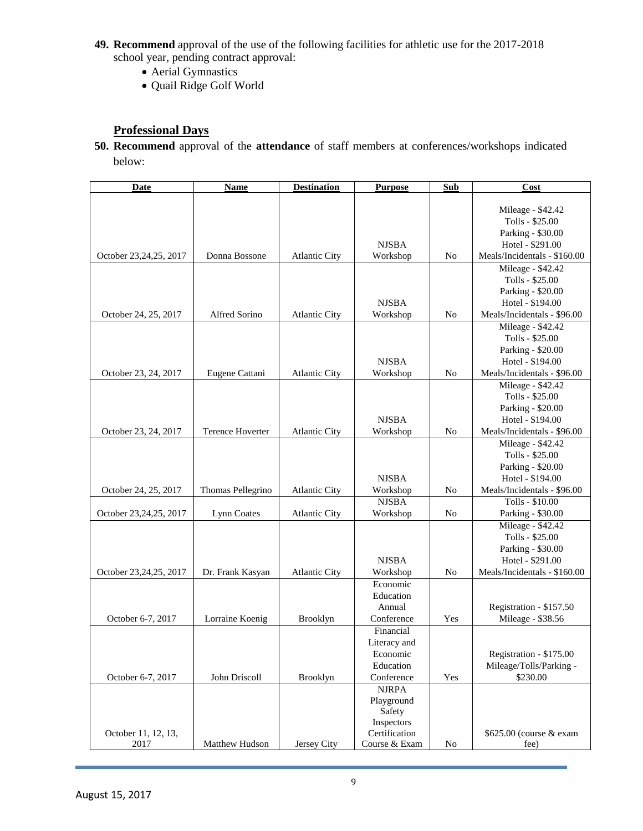- **49. Recommend** approval of the use of the following facilities for athletic use for the 2017-2018 school year, pending contract approval:
	- Aerial Gymnastics
	- Quail Ridge Golf World

# **Professional Days**

**50. Recommend** approval of the **attendance** of staff members at conferences/workshops indicated below:

| <b>Date</b>            | Name              | <b>Destination</b>   | <b>Purpose</b>          | Sub            | Cost                         |
|------------------------|-------------------|----------------------|-------------------------|----------------|------------------------------|
|                        |                   |                      |                         |                |                              |
|                        |                   |                      |                         |                | Mileage - \$42.42            |
|                        |                   |                      |                         |                | Tolls - \$25.00              |
|                        |                   |                      |                         |                | Parking - \$30.00            |
|                        |                   |                      | <b>NJSBA</b>            |                | Hotel - \$291.00             |
| October 23,24,25, 2017 | Donna Bossone     | <b>Atlantic City</b> | Workshop                | No             | Meals/Incidentals - \$160.00 |
|                        |                   |                      |                         |                | Mileage - \$42.42            |
|                        |                   |                      |                         |                | Tolls - \$25.00              |
|                        |                   |                      |                         |                | Parking - \$20.00            |
|                        |                   |                      | <b>NJSBA</b>            |                | Hotel - \$194.00             |
| October 24, 25, 2017   | Alfred Sorino     | <b>Atlantic City</b> | Workshop                | N <sub>o</sub> | Meals/Incidentals - \$96.00  |
|                        |                   |                      |                         |                | Mileage - \$42.42            |
|                        |                   |                      |                         |                | Tolls - \$25.00              |
|                        |                   |                      |                         |                | Parking - \$20.00            |
|                        |                   |                      | <b>NJSBA</b>            |                | Hotel - \$194.00             |
| October 23, 24, 2017   | Eugene Cattani    | <b>Atlantic City</b> | Workshop                | N <sub>o</sub> | Meals/Incidentals - \$96.00  |
|                        |                   |                      |                         |                | Mileage - \$42.42            |
|                        |                   |                      |                         |                | Tolls - \$25.00              |
|                        |                   |                      |                         |                | Parking - \$20.00            |
|                        |                   |                      | <b>NJSBA</b>            |                | Hotel - \$194.00             |
| October 23, 24, 2017   | Terence Hoverter  | <b>Atlantic City</b> | Workshop                | No             | Meals/Incidentals - \$96.00  |
|                        |                   |                      |                         |                | Mileage - \$42.42            |
|                        |                   |                      |                         |                | Tolls - \$25.00              |
|                        |                   |                      |                         |                | Parking - \$20.00            |
|                        |                   |                      | <b>NJSBA</b>            |                | Hotel - \$194.00             |
| October 24, 25, 2017   | Thomas Pellegrino | <b>Atlantic City</b> | Workshop                | No             | Meals/Incidentals - \$96.00  |
|                        |                   |                      | <b>NJSBA</b>            |                | Tolls - \$10.00              |
| October 23,24,25, 2017 | Lynn Coates       | <b>Atlantic City</b> | Workshop                | No             | Parking - \$30.00            |
|                        |                   |                      |                         |                | Mileage - \$42.42            |
|                        |                   |                      |                         |                | Tolls - \$25.00              |
|                        |                   |                      |                         |                | Parking - \$30.00            |
|                        |                   |                      | <b>NJSBA</b>            |                | Hotel - \$291.00             |
| October 23,24,25, 2017 | Dr. Frank Kasyan  | <b>Atlantic City</b> | Workshop                | No             | Meals/Incidentals - \$160.00 |
|                        |                   |                      | Economic                |                |                              |
|                        |                   |                      | Education               |                |                              |
|                        | Lorraine Koenig   |                      | Annual                  | Yes            | Registration - \$157.50      |
| October 6-7, 2017      |                   | <b>Brooklyn</b>      | Conference<br>Financial |                | Mileage - \$38.56            |
|                        |                   |                      |                         |                |                              |
|                        |                   |                      | Literacy and            |                | Registration - \$175.00      |
|                        |                   |                      | Economic<br>Education   |                | Mileage/Tolls/Parking -      |
|                        | John Driscoll     |                      | Conference              | Yes            | \$230.00                     |
| October 6-7, 2017      |                   | <b>Brooklyn</b>      | <b>NJRPA</b>            |                |                              |
|                        |                   |                      | Playground              |                |                              |
|                        |                   |                      | Safety                  |                |                              |
|                        |                   |                      | Inspectors              |                |                              |
| October 11, 12, 13,    |                   |                      | Certification           |                | \$625.00 (course & exam      |
| 2017                   | Matthew Hudson    | Jersey City          | Course & Exam           | $\rm No$       | fee)                         |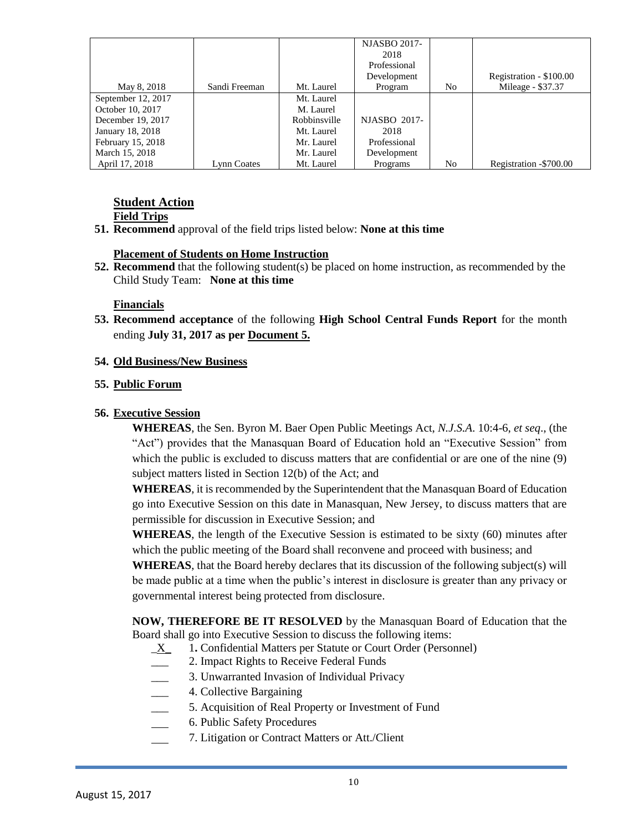|                    |               |              | <b>NJASBO 2017-</b><br>2018<br>Professional<br>Development |    | Registration - \$100.00 |
|--------------------|---------------|--------------|------------------------------------------------------------|----|-------------------------|
| May 8, 2018        | Sandi Freeman | Mt. Laurel   | Program                                                    | No | Mileage - \$37.37       |
| September 12, 2017 |               | Mt. Laurel   |                                                            |    |                         |
| October 10, 2017   |               | M. Laurel    |                                                            |    |                         |
| December 19, 2017  |               | Robbinsville | <b>NJASBO 2017-</b>                                        |    |                         |
| January 18, 2018   |               | Mt. Laurel   | 2018                                                       |    |                         |
| February 15, 2018  |               | Mr. Laurel   | Professional                                               |    |                         |
| March 15, 2018     |               | Mr. Laurel   | Development                                                |    |                         |
| April 17, 2018     | Lynn Coates   | Mt. Laurel   | Programs                                                   | No | Registration -\$700.00  |

# **Student Action**

**Field Trips**

**51. Recommend** approval of the field trips listed below: **None at this time**

## **Placement of Students on Home Instruction**

**52. Recommend** that the following student(s) be placed on home instruction, as recommended by the Child Study Team: **None at this time**

## **Financials**

**53. Recommend acceptance** of the following **High School Central Funds Report** for the month ending **July 31, 2017 as per Document 5.**

## **54. Old Business/New Business**

## **55. Public Forum**

## **56. Executive Session**

**WHEREAS**, the Sen. Byron M. Baer Open Public Meetings Act, *N.J.S.A*. 10:4-6, *et seq*., (the "Act") provides that the Manasquan Board of Education hold an "Executive Session" from which the public is excluded to discuss matters that are confidential or are one of the nine (9) subject matters listed in Section 12(b) of the Act; and

**WHEREAS**, it is recommended by the Superintendent that the Manasquan Board of Education go into Executive Session on this date in Manasquan, New Jersey, to discuss matters that are permissible for discussion in Executive Session; and

**WHEREAS**, the length of the Executive Session is estimated to be sixty (60) minutes after which the public meeting of the Board shall reconvene and proceed with business; and

**WHEREAS**, that the Board hereby declares that its discussion of the following subject(s) will be made public at a time when the public's interest in disclosure is greater than any privacy or governmental interest being protected from disclosure.

**NOW, THEREFORE BE IT RESOLVED** by the Manasquan Board of Education that the Board shall go into Executive Session to discuss the following items:

- \_X\_ 1**.** Confidential Matters per Statute or Court Order (Personnel)
- \_\_\_ 2. Impact Rights to Receive Federal Funds
- 3. Unwarranted Invasion of Individual Privacy
- \_\_\_ 4. Collective Bargaining
	- 5. Acquisition of Real Property or Investment of Fund
- 6. Public Safety Procedures
- 7. Litigation or Contract Matters or Att./Client